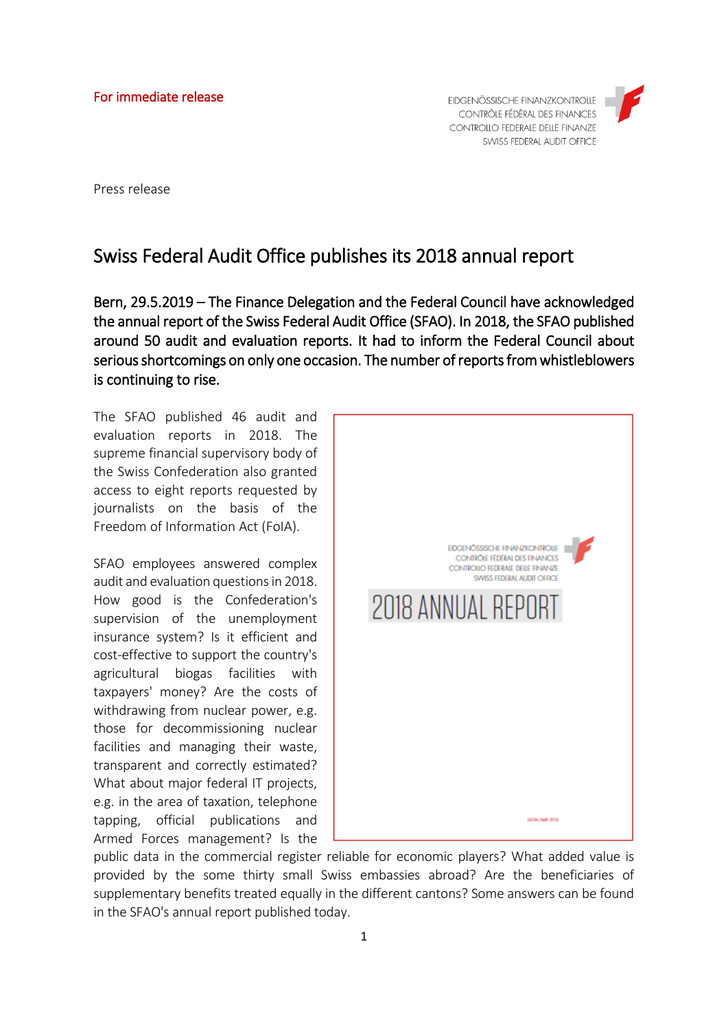EIDGENÖSSISCHE FINANZKONTROLLE CONTRÔLE FÉDÉRAL DES FINANCES **CONTROLLO FEDERALE DELLE FINANZE** SWISS FEDERAL AUDIT OFFICE



Press release

## Swiss Federal Audit Office publishes its 2018 annual report

Bern, 29.5.2019 – The Finance Delegation and the Federal Council have acknowledged the annual report of the Swiss Federal Audit Office (SFAO). In 2018, the SFAO published around 50 audit and evaluation reports. It had to inform the Federal Council about serious shortcomings on only one occasion. The number of reports from whistleblowers is continuing to rise.

The SFAO published 46 audit and evaluation reports in 2018. The supreme financial supervisory body of the Swiss Confederation also granted access to eight reports requested by journalists on the basis of the Freedom of Information Act (FoIA).

SFAO employees answered complex audit and evaluation questions in 2018. How good is the Confederation's supervision of the unemployment insurance system? Is it efficient and cost-effective to support the country's agricultural biogas facilities with taxpayers' money? Are the costs of withdrawing from nuclear power, e.g. those for decommissioning nuclear facilities and managing their waste, transparent and correctly estimated? What about major federal IT projects, e.g. in the area of taxation, telephone tapping, official publications and Armed Forces management? Is the



public data in the commercial register reliable for economic players? What added value is provided by the some thirty small Swiss embassies abroad? Are the beneficiaries of supplementary benefits treated equally in the different cantons? Some answers can be found in the SFAO's annual report published today.